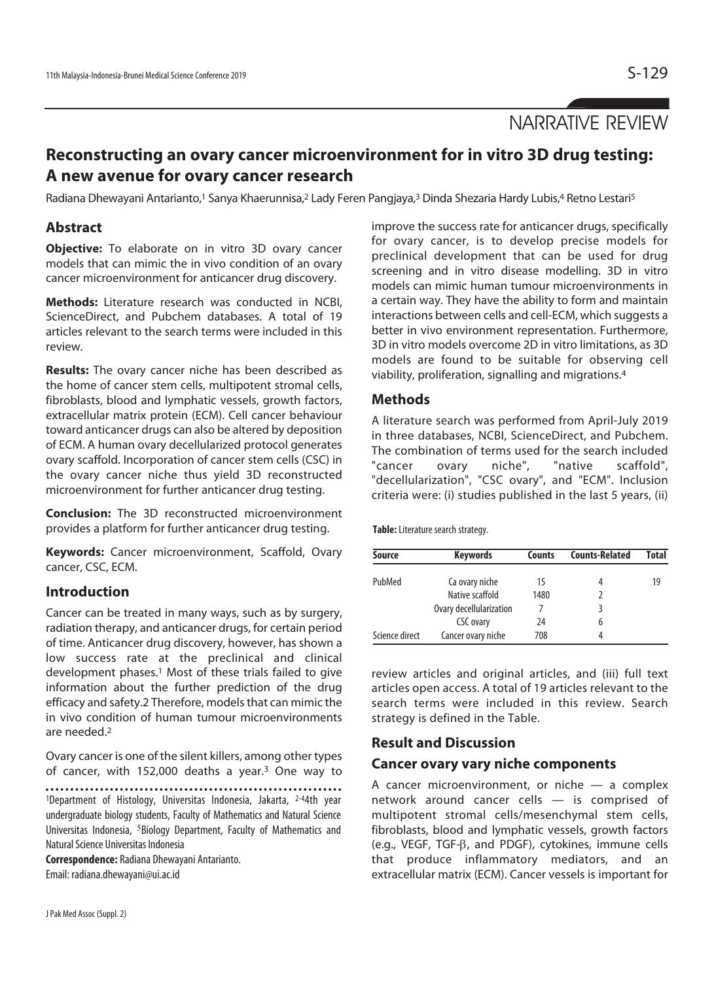NARRATIVE REVIEW

# **Reconstructing an ovary cancer microenvironment for in vitro 3D drug testing: A new avenue for ovary cancer research**

Radiana Dhewayani Antarianto,<sup>1</sup> Sanya Khaerunnisa,<sup>2</sup> Lady Feren Pangjaya,<sup>3</sup> Dinda Shezaria Hardy Lubis,4 Retno Lestari<sup>5</sup>

#### **Abstract**

**Objective:** To elaborate on in vitro 3D ovary cancer models that can mimic the in vivo condition of an ovary cancer microenvironment for anticancer drug discovery.

**Methods:** Literature research was conducted in NCBI, ScienceDirect, and Pubchem databases. A total of 19 articles relevant to the search terms were included in this review.

**Results:** The ovary cancer niche has been described as the home of cancer stem cells, multipotent stromal cells, fibroblasts, blood and lymphatic vessels, growth factors, extracellular matrix protein (ECM). Cell cancer behaviour toward anticancer drugs can also be altered by deposition of ECM. A human ovary decellularized protocol generates ovary scaffold. Incorporation of cancer stem cells (CSC) in the ovary cancer niche thus yield 3D reconstructed microenvironment for further anticancer drug testing.

**Conclusion:** The 3D reconstructed microenvironment provides a platform for further anticancer drug testing.

**Keywords:** Cancer microenvironment, Scaffold, Ovary cancer, CSC, ECM.

#### **Introduction**

Cancer can be treated in many ways, such as by surgery, radiation therapy, and anticancer drugs, for certain period of time. Anticancer drug discovery, however, has shown a low success rate at the preclinical and clinical development phases.1 Most of these trials failed to give information about the further prediction of the drug efficacy and safety.2 Therefore, models that can mimic the in vivo condition of human tumour microenvironments are needed.2

Ovary cancer is one of the silent killers, among other types of cancer, with 152,000 deaths a year.3 One way to

1Department of Histology, Universitas Indonesia, Jakarta, 2-44th year undergraduate biology students, Faculty of Mathematics and Natural Science Universitas Indonesia, <sup>5</sup>Biology Department, Faculty of Mathematics and Natural Science Universitas Indonesia

**Correspondence:** Radiana Dhewayani Antarianto. Email: radiana.dhewayani@ui.ac.id

PubMed Ca ovary niche 15 4 19 Native scaffold 1480 2 Ovary decellularization 7 3 CSC ovary 24 6 Science direct Cancer ovary niche 708 4

improve the success rate for anticancer drugs, specifically for ovary cancer, is to develop precise models for preclinical development that can be used for drug screening and in vitro disease modelling. 3D in vitro models can mimic human tumour microenvironments in a certain way. They have the ability to form and maintain interactions between cells and cell-ECM, which suggests a better in vivo environment representation. Furthermore, 3D in vitro models overcome 2D in vitro limitations, as 3D models are found to be suitable for observing cell viability, proliferation, signalling and migrations.4

#### **Methods**

A literature search was performed from April-July 2019 in three databases, NCBI, ScienceDirect, and Pubchem. The combination of terms used for the search included "cancer ovary niche", "native scaffold", "decellularization", "CSC ovary", and "ECM". Inclusion criteria were: (i) studies published in the last 5 years, (ii)

**Source Keywords Counts Counts-Related Total** 

**Table:** Literature search strategy.

review articles and original articles, and (iii) full text articles open access. A total of 19 articles relevant to the search terms were included in this review. Search strategy is defined in the Table.

## **Result and Discussion**

#### **Cancer ovary vary niche components**

A cancer microenvironment, or niche  $-$  a complex network around cancer cells — is comprised of multipotent stromal cells/mesenchymal stem cells, fibroblasts, blood and lymphatic vessels, growth factors (e.g., VEGF, TGF-β, and PDGF), cytokines, immune cells that produce inflammatory mediators, and an extracellular matrix (ECM). Cancer vessels is important for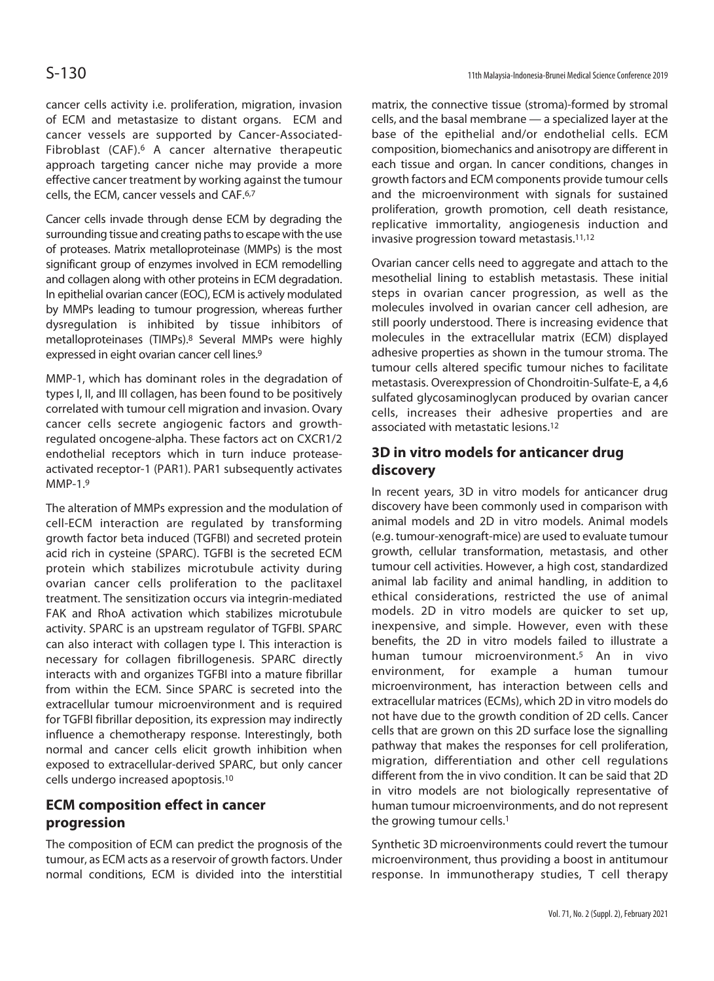cancer cells activity i.e. proliferation, migration, invasion of ECM and metastasize to distant organs. ECM and cancer vessels are supported by Cancer-Associated-Fibroblast (CAF).<sup>6</sup> A cancer alternative therapeutic approach targeting cancer niche may provide a more effective cancer treatment by working against the tumour cells, the ECM, cancer vessels and CAF.6,7

Cancer cells invade through dense ECM by degrading the surrounding tissue and creating paths to escape with the use of proteases. Matrix metalloproteinase (MMPs) is the most significant group of enzymes involved in ECM remodelling and collagen along with other proteins in ECM degradation. In epithelial ovarian cancer (EOC), ECM is actively modulated by MMPs leading to tumour progression, whereas further dysregulation is inhibited by tissue inhibitors of metalloproteinases (TIMPs).8 Several MMPs were highly expressed in eight ovarian cancer cell lines.<sup>9</sup>

MMP-1, which has dominant roles in the degradation of types I, II, and III collagen, has been found to be positively correlated with tumour cell migration and invasion. Ovary cancer cells secrete angiogenic factors and growthregulated oncogene-alpha. These factors act on CXCR1/2 endothelial receptors which in turn induce proteaseactivated receptor-1 (PAR1). PAR1 subsequently activates MMP-1.9

The alteration of MMPs expression and the modulation of cell-ECM interaction are regulated by transforming growth factor beta induced (TGFBI) and secreted protein acid rich in cysteine (SPARC). TGFBI is the secreted ECM protein which stabilizes microtubule activity during ovarian cancer cells proliferation to the paclitaxel treatment. The sensitization occurs via integrin-mediated FAK and RhoA activation which stabilizes microtubule activity. SPARC is an upstream regulator of TGFBI. SPARC can also interact with collagen type I. This interaction is necessary for collagen fibrillogenesis. SPARC directly interacts with and organizes TGFBI into a mature fibrillar from within the ECM. Since SPARC is secreted into the extracellular tumour microenvironment and is required for TGFBI fibrillar deposition, its expression may indirectly influence a chemotherapy response. Interestingly, both normal and cancer cells elicit growth inhibition when exposed to extracellular-derived SPARC, but only cancer cells undergo increased apoptosis.10

## **ECM composition effect in cancer progression**

The composition of ECM can predict the prognosis of the tumour, as ECM acts as a reservoir of growth factors. Under normal conditions, ECM is divided into the interstitial matrix, the connective tissue (stroma)-formed by stromal cells, and the basal membrane — a specialized layer at the base of the epithelial and/or endothelial cells. ECM composition, biomechanics and anisotropy are different in each tissue and organ. In cancer conditions, changes in growth factors and ECM components provide tumour cells and the microenvironment with signals for sustained proliferation, growth promotion, cell death resistance, replicative immortality, angiogenesis induction and invasive progression toward metastasis.11,12

Ovarian cancer cells need to aggregate and attach to the mesothelial lining to establish metastasis. These initial steps in ovarian cancer progression, as well as the molecules involved in ovarian cancer cell adhesion, are still poorly understood. There is increasing evidence that molecules in the extracellular matrix (ECM) displayed adhesive properties as shown in the tumour stroma. The tumour cells altered specific tumour niches to facilitate metastasis. Overexpression of Chondroitin-Sulfate-E, a 4,6 sulfated glycosaminoglycan produced by ovarian cancer cells, increases their adhesive properties and are associated with metastatic lesions.12

## **3D in vitro models for anticancer drug discovery**

In recent years, 3D in vitro models for anticancer drug discovery have been commonly used in comparison with animal models and 2D in vitro models. Animal models (e.g. tumour-xenograft-mice) are used to evaluate tumour growth, cellular transformation, metastasis, and other tumour cell activities. However, a high cost, standardized animal lab facility and animal handling, in addition to ethical considerations, restricted the use of animal models. 2D in vitro models are quicker to set up, inexpensive, and simple. However, even with these benefits, the 2D in vitro models failed to illustrate a human tumour microenvironment.5 An in vivo environment, for example a human tumour microenvironment, has interaction between cells and extracellular matrices (ECMs), which 2D in vitro models do not have due to the growth condition of 2D cells. Cancer cells that are grown on this 2D surface lose the signalling pathway that makes the responses for cell proliferation, migration, differentiation and other cell regulations different from the in vivo condition. It can be said that 2D in vitro models are not biologically representative of human tumour microenvironments, and do not represent the growing tumour cells.1

Synthetic 3D microenvironments could revert the tumour microenvironment, thus providing a boost in antitumour response. In immunotherapy studies, T cell therapy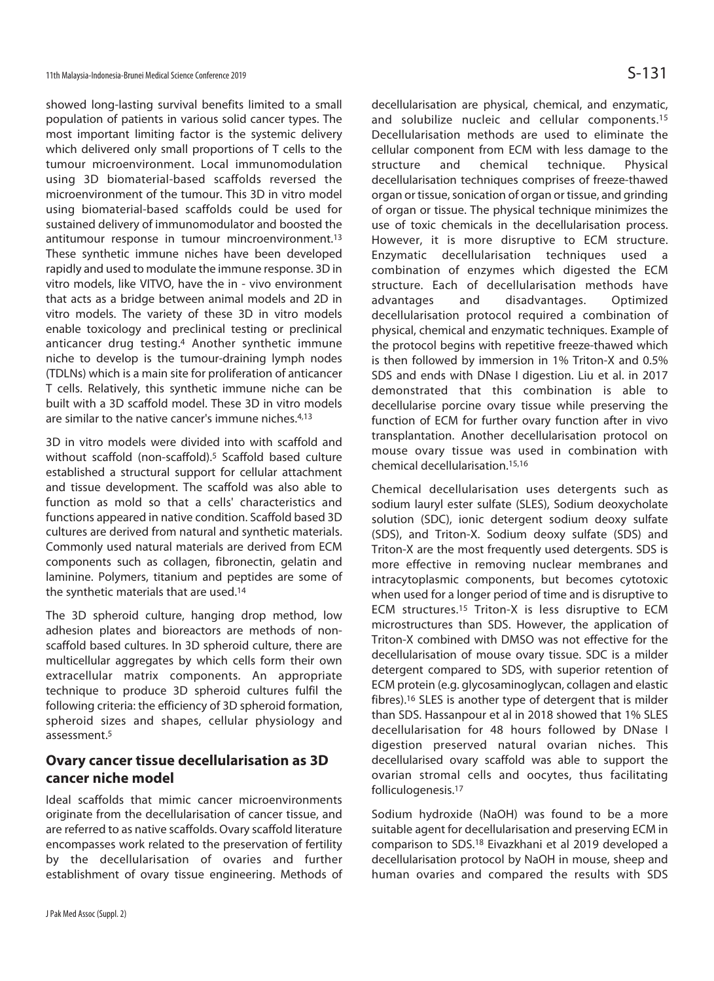showed long-lasting survival benefits limited to a small population of patients in various solid cancer types. The most important limiting factor is the systemic delivery which delivered only small proportions of T cells to the tumour microenvironment. Local immunomodulation using 3D biomaterial-based scaffolds reversed the microenvironment of the tumour. This 3D in vitro model using biomaterial-based scaffolds could be used for sustained delivery of immunomodulator and boosted the antitumour response in tumour mincroenvironment.<sup>13</sup> These synthetic immune niches have been developed rapidly and used to modulate the immune response. 3D in vitro models, like VITVO, have the in - vivo environment that acts as a bridge between animal models and 2D in vitro models. The variety of these 3D in vitro models enable toxicology and preclinical testing or preclinical anticancer drug testing.4 Another synthetic immune niche to develop is the tumour-draining lymph nodes (TDLNs) which is a main site for proliferation of anticancer T cells. Relatively, this synthetic immune niche can be built with a 3D scaffold model. These 3D in vitro models are similar to the native cancer's immune niches.4,13

3D in vitro models were divided into with scaffold and without scaffold (non-scaffold).<sup>5</sup> Scaffold based culture established a structural support for cellular attachment and tissue development. The scaffold was also able to function as mold so that a cells' characteristics and functions appeared in native condition. Scaffold based 3D cultures are derived from natural and synthetic materials. Commonly used natural materials are derived from ECM components such as collagen, fibronectin, gelatin and laminine. Polymers, titanium and peptides are some of the synthetic materials that are used.14

The 3D spheroid culture, hanging drop method, low adhesion plates and bioreactors are methods of nonscaffold based cultures. In 3D spheroid culture, there are multicellular aggregates by which cells form their own extracellular matrix components. An appropriate technique to produce 3D spheroid cultures fulfil the following criteria: the efficiency of 3D spheroid formation, spheroid sizes and shapes, cellular physiology and assessment.5

## **Ovary cancer tissue decellularisation as 3D cancer niche model**

Ideal scaffolds that mimic cancer microenvironments originate from the decellularisation of cancer tissue, and are referred to as native scaffolds. Ovary scaffold literature encompasses work related to the preservation of fertility by the decellularisation of ovaries and further establishment of ovary tissue engineering. Methods of decellularisation are physical, chemical, and enzymatic, and solubilize nucleic and cellular components.15 Decellularisation methods are used to eliminate the cellular component from ECM with less damage to the structure and chemical technique. Physical decellularisation techniques comprises of freeze-thawed organ or tissue, sonication of organ or tissue, and grinding of organ or tissue. The physical technique minimizes the use of toxic chemicals in the decellularisation process. However, it is more disruptive to ECM structure. Enzymatic decellularisation techniques used a combination of enzymes which digested the ECM structure. Each of decellularisation methods have advantages and disadvantages. Optimized decellularisation protocol required a combination of physical, chemical and enzymatic techniques. Example of the protocol begins with repetitive freeze-thawed which is then followed by immersion in 1% Triton-X and 0.5% SDS and ends with DNase I digestion. Liu et al. in 2017 demonstrated that this combination is able to decellularise porcine ovary tissue while preserving the function of ECM for further ovary function after in vivo transplantation. Another decellularisation protocol on mouse ovary tissue was used in combination with chemical decellularisation.15,16

Chemical decellularisation uses detergents such as sodium lauryl ester sulfate (SLES), Sodium deoxycholate solution (SDC), ionic detergent sodium deoxy sulfate (SDS), and Triton-X. Sodium deoxy sulfate (SDS) and Triton-X are the most frequently used detergents. SDS is more effective in removing nuclear membranes and intracytoplasmic components, but becomes cytotoxic when used for a longer period of time and is disruptive to ECM structures.15 Triton-X is less disruptive to ECM microstructures than SDS. However, the application of Triton-X combined with DMSO was not effective for the decellularisation of mouse ovary tissue. SDC is a milder detergent compared to SDS, with superior retention of ECM protein (e.g. glycosaminoglycan, collagen and elastic fibres).16 SLES is another type of detergent that is milder than SDS. Hassanpour et al in 2018 showed that 1% SLES decellularisation for 48 hours followed by DNase I digestion preserved natural ovarian niches. This decellularised ovary scaffold was able to support the ovarian stromal cells and oocytes, thus facilitating folliculogenesis.17

Sodium hydroxide (NaOH) was found to be a more suitable agent for decellularisation and preserving ECM in comparison to SDS.18 Eivazkhani et al 2019 developed a decellularisation protocol by NaOH in mouse, sheep and human ovaries and compared the results with SDS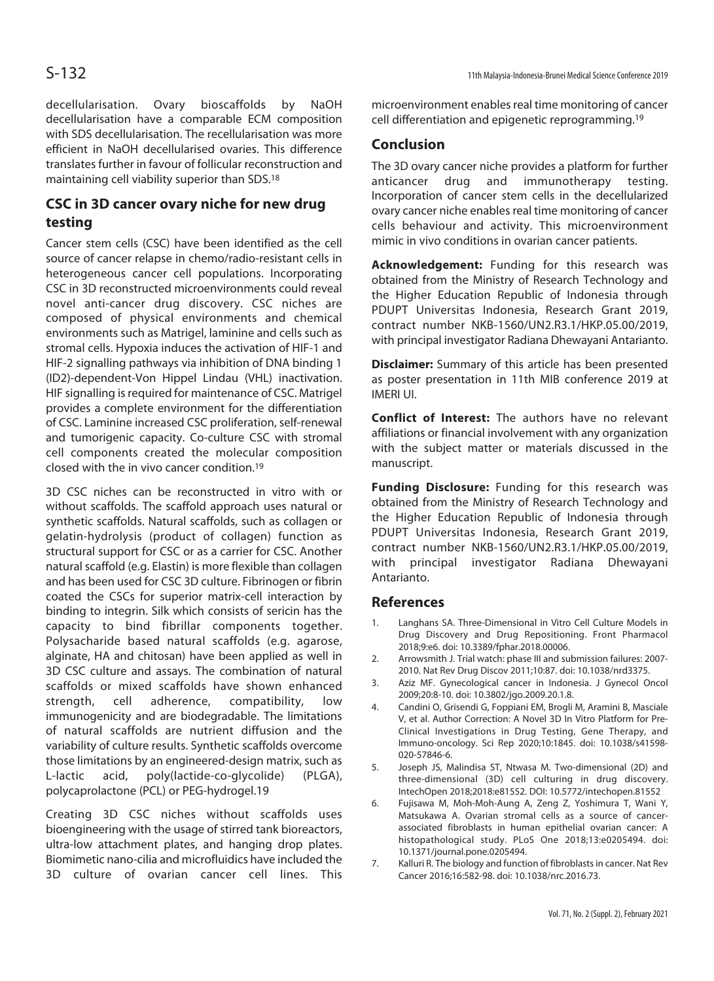decellularisation. Ovary bioscaffolds by NaOH decellularisation have a comparable ECM composition with SDS decellularisation. The recellularisation was more efficient in NaOH decellularised ovaries. This difference translates further in favour of follicular reconstruction and maintaining cell viability superior than SDS.18

## **CSC in 3D cancer ovary niche for new drug testing**

Cancer stem cells (CSC) have been identified as the cell source of cancer relapse in chemo/radio-resistant cells in heterogeneous cancer cell populations. Incorporating CSC in 3D reconstructed microenvironments could reveal novel anti-cancer drug discovery. CSC niches are composed of physical environments and chemical environments such as Matrigel, laminine and cells such as stromal cells. Hypoxia induces the activation of HIF-1 and HIF-2 signalling pathways via inhibition of DNA binding 1 (ID2)-dependent-Von Hippel Lindau (VHL) inactivation. HIF signalling is required for maintenance of CSC. Matrigel provides a complete environment for the differentiation of CSC. Laminine increased CSC proliferation, self-renewal and tumorigenic capacity. Co-culture CSC with stromal cell components created the molecular composition closed with the in vivo cancer condition.19

3D CSC niches can be reconstructed in vitro with or without scaffolds. The scaffold approach uses natural or synthetic scaffolds. Natural scaffolds, such as collagen or gelatin-hydrolysis (product of collagen) function as structural support for CSC or as a carrier for CSC. Another natural scaffold (e.g. Elastin) is more flexible than collagen and has been used for CSC 3D culture. Fibrinogen or fibrin coated the CSCs for superior matrix-cell interaction by binding to integrin. Silk which consists of sericin has the capacity to bind fibrillar components together. Polysacharide based natural scaffolds (e.g. agarose, alginate, HA and chitosan) have been applied as well in 3D CSC culture and assays. The combination of natural scaffolds or mixed scaffolds have shown enhanced strength, cell adherence, compatibility, low immunogenicity and are biodegradable. The limitations of natural scaffolds are nutrient diffusion and the variability of culture results. Synthetic scaffolds overcome those limitations by an engineered-design matrix, such as L-lactic acid, poly(lactide-co-glycolide) (PLGA), polycaprolactone (PCL) or PEG-hydrogel.19

Creating 3D CSC niches without scaffolds uses bioengineering with the usage of stirred tank bioreactors, ultra-low attachment plates, and hanging drop plates. Biomimetic nano-cilia and microfluidics have included the 3D culture of ovarian cancer cell lines. This

microenvironment enables real time monitoring of cancer cell differentiation and epigenetic reprogramming.19

## **Conclusion**

The 3D ovary cancer niche provides a platform for further anticancer drug and immunotherapy testing. Incorporation of cancer stem cells in the decellularized ovary cancer niche enables real time monitoring of cancer cells behaviour and activity. This microenvironment mimic in vivo conditions in ovarian cancer patients.

**Acknowledgement:** Funding for this research was obtained from the Ministry of Research Technology and the Higher Education Republic of Indonesia through PDUPT Universitas Indonesia, Research Grant 2019, contract number NKB-1560/UN2.R3.1/HKP.05.00/2019, with principal investigator Radiana Dhewayani Antarianto.

**Disclaimer:** Summary of this article has been presented as poster presentation in 11th MIB conference 2019 at IMERI UI.

**Conflict of Interest:** The authors have no relevant affiliations or financial involvement with any organization with the subject matter or materials discussed in the manuscript.

**Funding Disclosure:** Funding for this research was obtained from the Ministry of Research Technology and the Higher Education Republic of Indonesia through PDUPT Universitas Indonesia, Research Grant 2019, contract number NKB-1560/UN2.R3.1/HKP.05.00/2019, with principal investigator Radiana Dhewayani Antarianto.

#### **References**

- 1. Langhans SA. Three-Dimensional in Vitro Cell Culture Models in Drug Discovery and Drug Repositioning. Front Pharmacol 2018;9:e6. doi: 10.3389/fphar.2018.00006.
- 2. Arrowsmith J. Trial watch: phase III and submission failures: 2007- 2010. Nat Rev Drug Discov 2011;10:87. doi: 10.1038/nrd3375.
- 3. Aziz MF. Gynecological cancer in Indonesia. J Gynecol Oncol 2009;20:8-10. doi: 10.3802/jgo.2009.20.1.8.
- 4. Candini O, Grisendi G, Foppiani EM, Brogli M, Aramini B, Masciale V, et al. Author Correction: A Novel 3D In Vitro Platform for Pre-Clinical Investigations in Drug Testing, Gene Therapy, and Immuno-oncology. Sci Rep 2020;10:1845. doi: 10.1038/s41598- 020-57846-6.
- 5. Joseph JS, Malindisa ST, Ntwasa M. Two-dimensional (2D) and three-dimensional (3D) cell culturing in drug discovery. IntechOpen 2018;2018:e81552. DOI: 10.5772/intechopen.81552
- 6. Fujisawa M, Moh-Moh-Aung A, Zeng Z, Yoshimura T, Wani Y, Matsukawa A. Ovarian stromal cells as a source of cancerassociated fibroblasts in human epithelial ovarian cancer: A histopathological study. PLoS One 2018;13:e0205494. doi: 10.1371/journal.pone.0205494.
- 7. Kalluri R. The biology and function of fibroblasts in cancer. Nat Rev Cancer 2016;16:582-98. doi: 10.1038/nrc.2016.73.